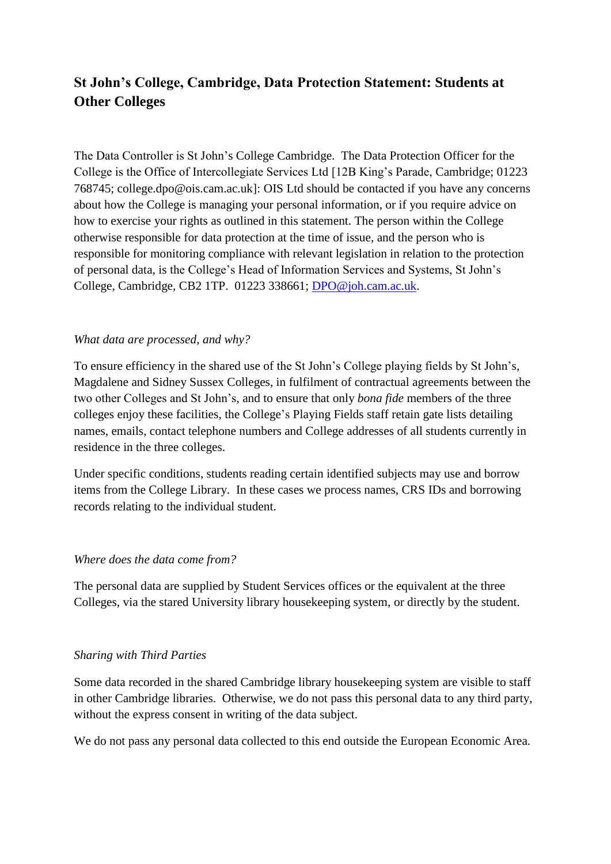# **St John's College, Cambridge, Data Protection Statement: Students at Other Colleges**

The Data Controller is St John's College Cambridge. The Data Protection Officer for the College is the Office of Intercollegiate Services Ltd [12B King's Parade, Cambridge; 01223 768745; college.dpo@ois.cam.ac.uk]: OIS Ltd should be contacted if you have any concerns about how the College is managing your personal information, or if you require advice on how to exercise your rights as outlined in this statement. The person within the College otherwise responsible for data protection at the time of issue, and the person who is responsible for monitoring compliance with relevant legislation in relation to the protection of personal data, is the College's Head of Information Services and Systems, St John's College, Cambridge, CB2 1TP. 01223 338661; [DPO@joh.cam.ac.uk.](mailto:DPO@joh.cam.ac.uk)

## *What data are processed, and why?*

To ensure efficiency in the shared use of the St John's College playing fields by St John's, Magdalene and Sidney Sussex Colleges, in fulfilment of contractual agreements between the two other Colleges and St John's, and to ensure that only *bona fide* members of the three colleges enjoy these facilities, the College's Playing Fields staff retain gate lists detailing names, emails, contact telephone numbers and College addresses of all students currently in residence in the three colleges.

Under specific conditions, students reading certain identified subjects may use and borrow items from the College Library. In these cases we process names, CRS IDs and borrowing records relating to the individual student.

#### *Where does the data come from?*

The personal data are supplied by Student Services offices or the equivalent at the three Colleges, via the stared University library housekeeping system, or directly by the student.

#### *Sharing with Third Parties*

Some data recorded in the shared Cambridge library housekeeping system are visible to staff in other Cambridge libraries. Otherwise, we do not pass this personal data to any third party, without the express consent in writing of the data subject.

We do not pass any personal data collected to this end outside the European Economic Area.